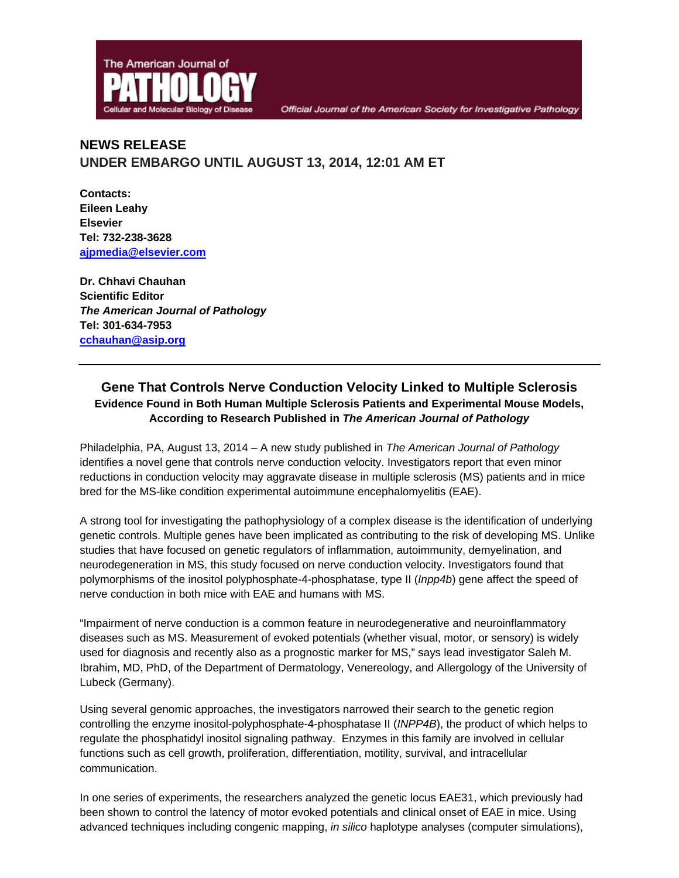

# **NEWS RELEASE UNDER EMBARGO UNTIL AUGUST 13, 2014, 12:01 AM ET**

**Contacts: Eileen Leahy Elsevier Tel: 732-238-3628 ajpmedia@elsevier.com**

**Dr. Chhavi Chauhan Scientific Editor**  *The American Journal of Pathology*  **Tel: 301-634-7953 cchauhan@asip.org** 

# **Gene That Controls Nerve Conduction Velocity Linked to Multiple Sclerosis Evidence Found in Both Human Multiple Sclerosis Patients and Experimental Mouse Models, According to Research Published in** *The American Journal of Pathology*

Philadelphia, PA, August 13, 2014 – A new study published in *The American Journal of Pathology* identifies a novel gene that controls nerve conduction velocity. Investigators report that even minor reductions in conduction velocity may aggravate disease in multiple sclerosis (MS) patients and in mice bred for the MS-like condition experimental autoimmune encephalomyelitis (EAE).

A strong tool for investigating the pathophysiology of a complex disease is the identification of underlying genetic controls. Multiple genes have been implicated as contributing to the risk of developing MS. Unlike studies that have focused on genetic regulators of inflammation, autoimmunity, demyelination, and neurodegeneration in MS, this study focused on nerve conduction velocity. Investigators found that polymorphisms of the inositol polyphosphate-4-phosphatase, type II (*Inpp4b*) gene affect the speed of nerve conduction in both mice with EAE and humans with MS.

"Impairment of nerve conduction is a common feature in neurodegenerative and neuroinflammatory diseases such as MS. Measurement of evoked potentials (whether visual, motor, or sensory) is widely used for diagnosis and recently also as a prognostic marker for MS," says lead investigator Saleh M. Ibrahim, MD, PhD, of the Department of Dermatology, Venereology, and Allergology of the University of Lubeck (Germany).

Using several genomic approaches, the investigators narrowed their search to the genetic region controlling the enzyme inositol-polyphosphate-4-phosphatase II (*INPP4B*), the product of which helps to regulate the phosphatidyl inositol signaling pathway. Enzymes in this family are involved in cellular functions such as cell growth, proliferation, differentiation, motility, survival, and intracellular communication.

In one series of experiments, the researchers analyzed the genetic locus EAE31, which previously had been shown to control the latency of motor evoked potentials and clinical onset of EAE in mice. Using advanced techniques including congenic mapping, *in silico* haplotype analyses (computer simulations),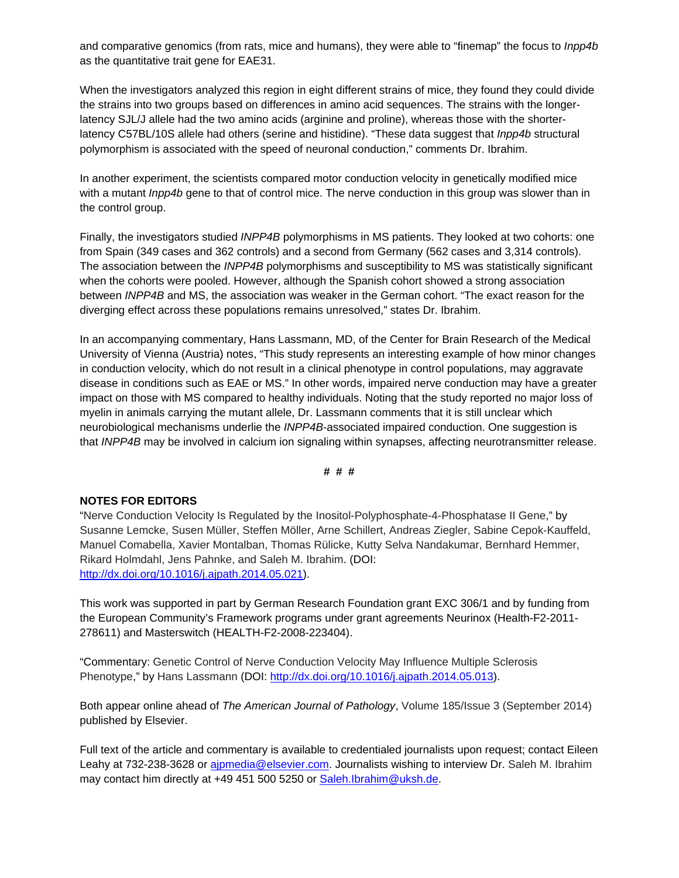and comparative genomics (from rats, mice and humans), they were able to "finemap" the focus to *Inpp4b* as the quantitative trait gene for EAE31.

When the investigators analyzed this region in eight different strains of mice, they found they could divide the strains into two groups based on differences in amino acid sequences. The strains with the longerlatency SJL/J allele had the two amino acids (arginine and proline), whereas those with the shorterlatency C57BL/10S allele had others (serine and histidine). "These data suggest that *Inpp4b* structural polymorphism is associated with the speed of neuronal conduction," comments Dr. Ibrahim.

In another experiment, the scientists compared motor conduction velocity in genetically modified mice with a mutant *Inpp4b* gene to that of control mice. The nerve conduction in this group was slower than in the control group.

Finally, the investigators studied *INPP4B* polymorphisms in MS patients. They looked at two cohorts: one from Spain (349 cases and 362 controls) and a second from Germany (562 cases and 3,314 controls). The association between the *INPP4B* polymorphisms and susceptibility to MS was statistically significant when the cohorts were pooled. However, although the Spanish cohort showed a strong association between *INPP4B* and MS, the association was weaker in the German cohort. "The exact reason for the diverging effect across these populations remains unresolved," states Dr. Ibrahim.

In an accompanying commentary, Hans Lassmann, MD, of the Center for Brain Research of the Medical University of Vienna (Austria) notes, "This study represents an interesting example of how minor changes in conduction velocity, which do not result in a clinical phenotype in control populations, may aggravate disease in conditions such as EAE or MS." In other words, impaired nerve conduction may have a greater impact on those with MS compared to healthy individuals. Noting that the study reported no major loss of myelin in animals carrying the mutant allele, Dr. Lassmann comments that it is still unclear which neurobiological mechanisms underlie the *INPP4B*-associated impaired conduction. One suggestion is that *INPP4B* may be involved in calcium ion signaling within synapses, affecting neurotransmitter release.

#### **# # #**

#### **NOTES FOR EDITORS**

"Nerve Conduction Velocity Is Regulated by the Inositol-Polyphosphate-4-Phosphatase II Gene," by Susanne Lemcke, Susen Müller, Steffen Möller, Arne Schillert, Andreas Ziegler, Sabine Cepok-Kauffeld, Manuel Comabella, Xavier Montalban, Thomas Rülicke, Kutty Selva Nandakumar, Bernhard Hemmer, Rikard Holmdahl, Jens Pahnke, and Saleh M. Ibrahim. (DOI: http://dx.doi.org/10.1016/j.ajpath.2014.05.021).

This work was supported in part by German Research Foundation grant EXC 306/1 and by funding from the European Community's Framework programs under grant agreements Neurinox (Health-F2-2011- 278611) and Masterswitch (HEALTH-F2-2008-223404).

"Commentary: Genetic Control of Nerve Conduction Velocity May Influence Multiple Sclerosis Phenotype," by Hans Lassmann (DOI: http://dx.doi.org/10.1016/j.ajpath.2014.05.013).

Both appear online ahead of *The American Journal of Pathology*, Volume 185/Issue 3 (September 2014) published by Elsevier.

Full text of the article and commentary is available to credentialed journalists upon request; contact Eileen Leahy at 732-238-3628 or ajpmedia@elsevier.com. Journalists wishing to interview Dr. Saleh M. Ibrahim may contact him directly at +49 451 500 5250 or Saleh.Ibrahim@uksh.de.